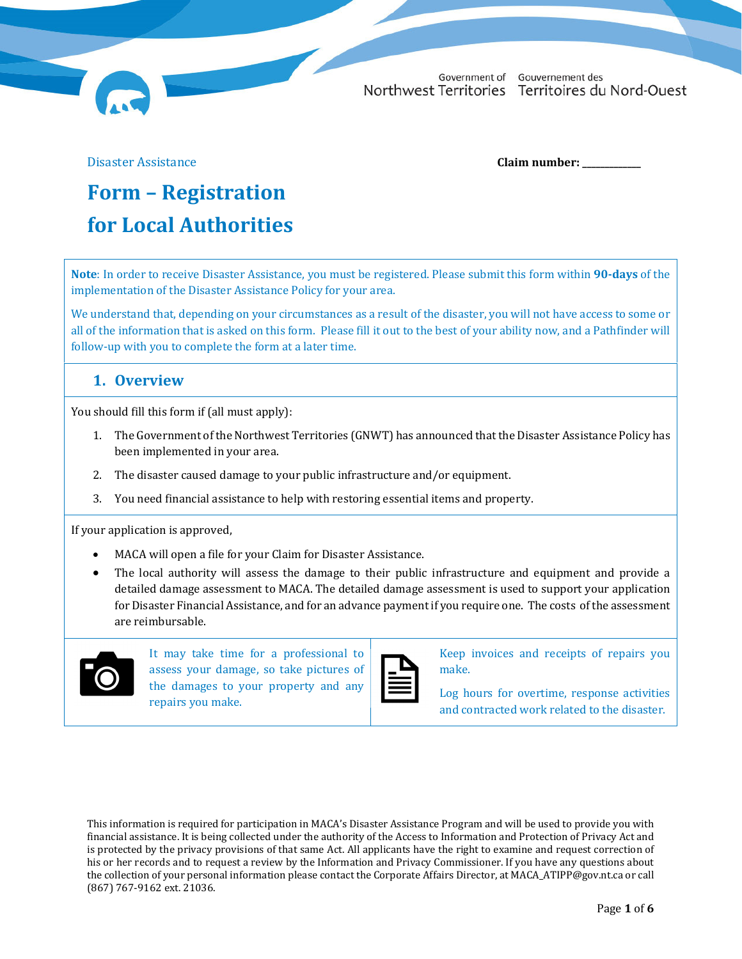Government of Gouvernement des Northwest Territories Territoires du Nord-Ouest

Disaster Assistance **Claim number: \_\_\_\_\_\_\_\_\_\_\_\_\_**

# **Form** – **Registration for Local Authorities**

**Note**: In order to receive Disaster Assistance, you must be registered. Please submit this form within **90‐days** of the implementation of the Disaster Assistance Policy for your area.

We understand that, depending on your circumstances as a result of the disaster, you will not have access to some or all of the information that is asked on this form. Please fill it out to the best of your ability now, and a Pathfinder will follow-up with you to complete the form at a later time.

## **1. Overview**

You should fill this form if (all must apply):

- 1. The Government of the Northwest Territories (GNWT) has announced that the Disaster Assistance Policy has been implemented in your area.
- 2. The disaster caused damage to your public infrastructure and/or equipment.
- 3. You need financial assistance to help with restoring essential items and property.

If your application is approved,

- MACA will open a file for your Claim for Disaster Assistance.
- The local authority will assess the damage to their public infrastructure and equipment and provide a detailed damage assessment to MACA. The detailed damage assessment is used to support your application for Disaster Financial Assistance, and for an advance payment if you require one. The costs of the assessment are reimbursable.



It may take time for a professional to assess your damage, so take pictures of the damages to your property and any repairs you make.

Keep invoices and receipts of repairs you make.

Log hours for overtime, response activities and contracted work related to the disaster.

This information is required for participation in MACA's Disaster Assistance Program and will be used to provide you with financial assistance. It is being collected under the authority of the Access to Information and Protection of Privacy Act and is protected by the privacy provisions of that same Act. All applicants have the right to examine and request correction of his or her records and to request a review by the Information and Privacy Commissioner. If you have any questions about the collection of your personal information please contact the Corporate Affairs Director, at MACA\_ATIPP@gov.nt.ca or call (867) 767-9162 ext. 21036.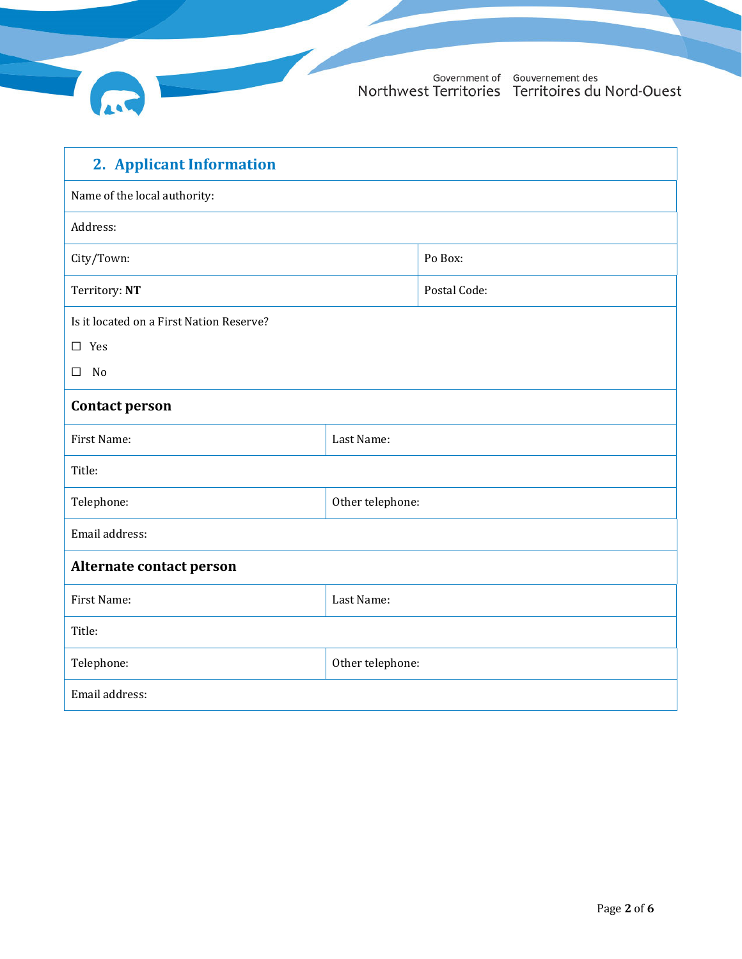

| 2. Applicant Information                 |                  |              |  |  |  |
|------------------------------------------|------------------|--------------|--|--|--|
| Name of the local authority:             |                  |              |  |  |  |
| Address:                                 |                  |              |  |  |  |
| City/Town:                               |                  | Po Box:      |  |  |  |
| Territory: NT                            |                  | Postal Code: |  |  |  |
| Is it located on a First Nation Reserve? |                  |              |  |  |  |
| $\square$ Yes                            |                  |              |  |  |  |
| No<br>$\Box$                             |                  |              |  |  |  |
| <b>Contact person</b>                    |                  |              |  |  |  |
| First Name:                              | Last Name:       |              |  |  |  |
| Title:                                   |                  |              |  |  |  |
| Telephone:                               | Other telephone: |              |  |  |  |
| Email address:                           |                  |              |  |  |  |
| Alternate contact person                 |                  |              |  |  |  |
| First Name:                              | Last Name:       |              |  |  |  |
| Title:                                   |                  |              |  |  |  |
| Telephone:                               | Other telephone: |              |  |  |  |
| Email address:                           |                  |              |  |  |  |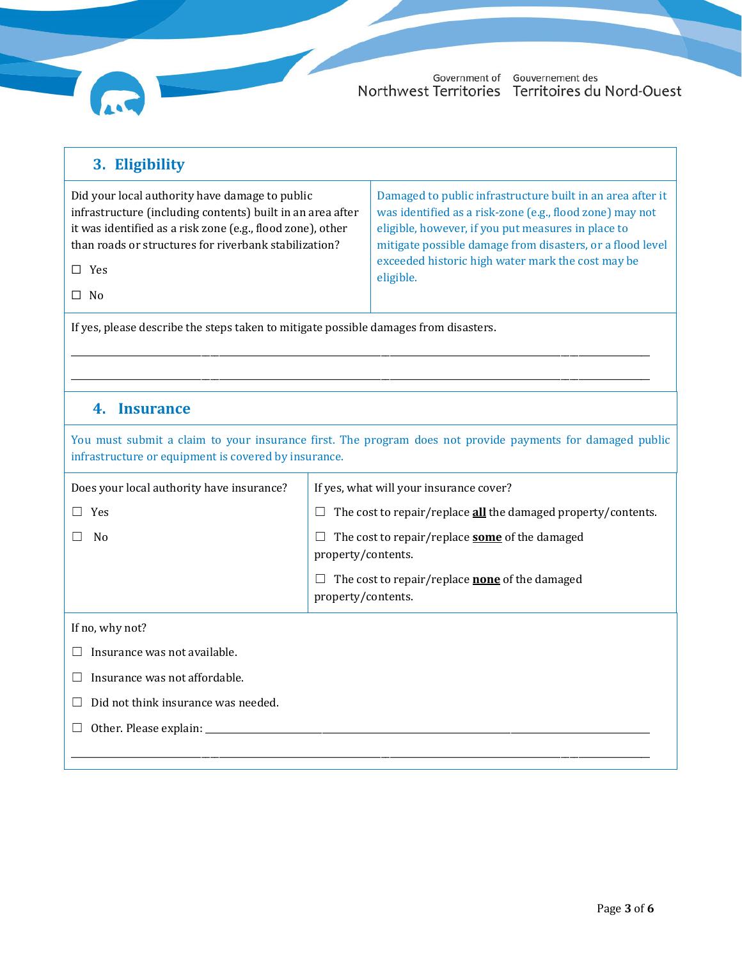

#### **3. Eligibility** Did your local authority have damage to public infrastructure (including contents) built in an area after it was identified as a risk zone (e.g., flood zone), other than roads or structures for riverbank stabilization? ☐ Yes ☐ No Damaged to public infrastructure built in an area after it was identified as a risk-zone (e.g., flood zone) may not eligible, however, if you put measures in place to mitigate possible damage from disasters, or a flood level exceeded historic high water mark the cost may be eligible.

\_\_\_\_\_\_\_\_\_\_\_\_\_\_\_\_\_\_\_\_\_\_\_\_\_\_\_\_\_\_\_\_\_\_\_\_\_\_\_\_\_\_\_\_\_\_\_\_\_\_\_\_\_\_\_\_\_\_\_\_\_\_\_\_\_\_\_\_\_\_\_\_\_\_\_\_\_\_\_\_\_\_\_\_\_\_\_\_\_\_\_\_\_\_\_\_\_\_\_\_\_\_\_\_\_\_\_\_\_\_\_\_\_\_\_\_\_\_\_\_\_\_\_\_\_\_\_\_\_ \_\_\_\_\_\_\_\_\_\_\_\_\_\_\_\_\_\_\_\_\_\_\_\_\_\_\_\_\_\_\_\_\_\_\_\_\_\_\_\_\_\_\_\_\_\_\_\_\_\_\_\_\_\_\_\_\_\_\_\_\_\_\_\_\_\_\_\_\_\_\_\_\_\_\_\_\_\_\_\_\_\_\_\_\_\_\_\_\_\_\_\_\_\_\_\_\_\_\_\_\_\_\_\_\_\_\_\_\_\_\_\_\_\_\_\_\_\_\_\_\_\_\_\_\_\_\_\_\_

If yes, please describe the steps taken to mitigate possible damages from disasters.

## **4. Insurance**

You must submit a claim to your insurance first. The program does not provide payments for damaged public infrastructure or equipment is covered by insurance.

| Does your local authority have insurance? | If yes, what will your insurance cover?                                     |  |  |  |  |
|-------------------------------------------|-----------------------------------------------------------------------------|--|--|--|--|
| Yes                                       | The cost to repair/replace all the damaged property/contents.               |  |  |  |  |
| N <sub>0</sub>                            | The cost to repair/replace <b>some</b> of the damaged<br>property/contents. |  |  |  |  |
|                                           | The cost to repair/replace <b>none</b> of the damaged<br>property/contents. |  |  |  |  |
| If no, why not?                           |                                                                             |  |  |  |  |
| Insurance was not available.              |                                                                             |  |  |  |  |
| Insurance was not affordable.             |                                                                             |  |  |  |  |
| Did not think insurance was needed.       |                                                                             |  |  |  |  |
| Other. Please explain:                    |                                                                             |  |  |  |  |
|                                           |                                                                             |  |  |  |  |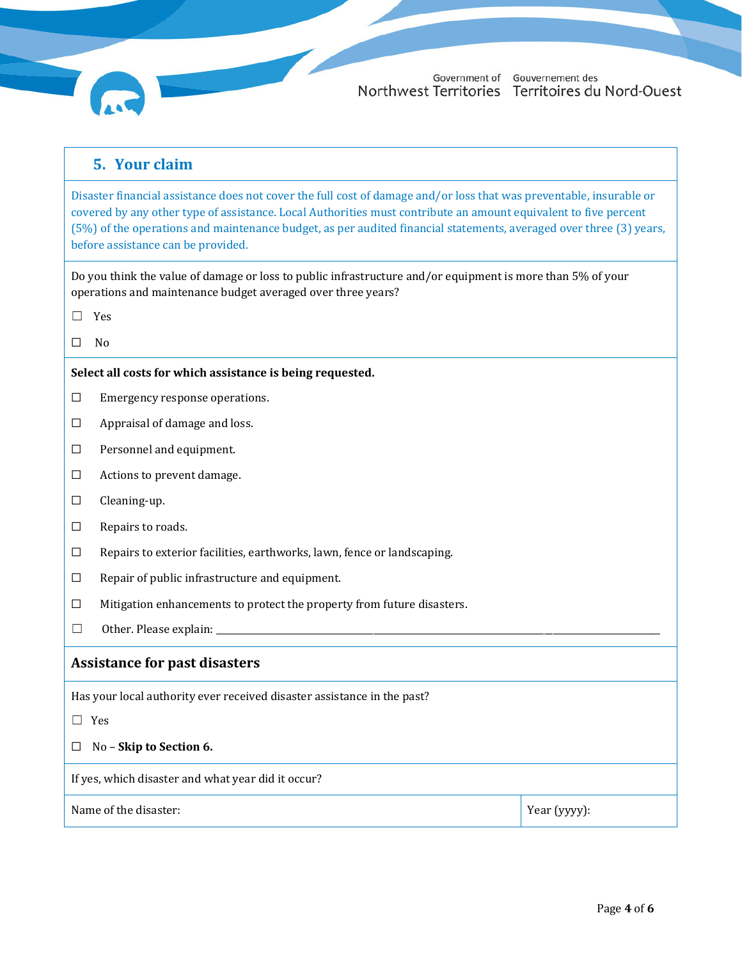

## **5. Your claim**

Disaster financial assistance does not cover the full cost of damage and/or loss that was preventable, insurable or covered by any other type of assistance. Local Authorities must contribute an amount equivalent to five percent (5%) of the operations and maintenance budget, as per audited financial statements, averaged over three (3) years, before assistance can be provided.

Do you think the value of damage or loss to public infrastructure and/or equipment is more than 5% of your operations and maintenance budget averaged over three years?

- ☐ Yes
- $\Box$  No

#### **Select all costs for which assistance is being requested.**

- ☐ Emergency response operations.
- ☐ Appraisal of damage and loss.
- ☐ Personnel and equipment.
- ☐ Actions to prevent damage.
- ☐ Cleaning-up.
- ☐ Repairs to roads.
- ☐ Repairs to exterior facilities, earthworks, lawn, fence or landscaping.
- ☐ Repair of public infrastructure and equipment.
- ☐ Mitigation enhancements to protect the property from future disasters.
- $\Box$  Other. Please explain:

### **Assistance for past disasters**

Has your local authority ever received disaster assistance in the past?

☐ Yes

☐ No – **Skip to Section 6.**

If yes, which disaster and what year did it occur?

Name of the disaster: Year (yyyy):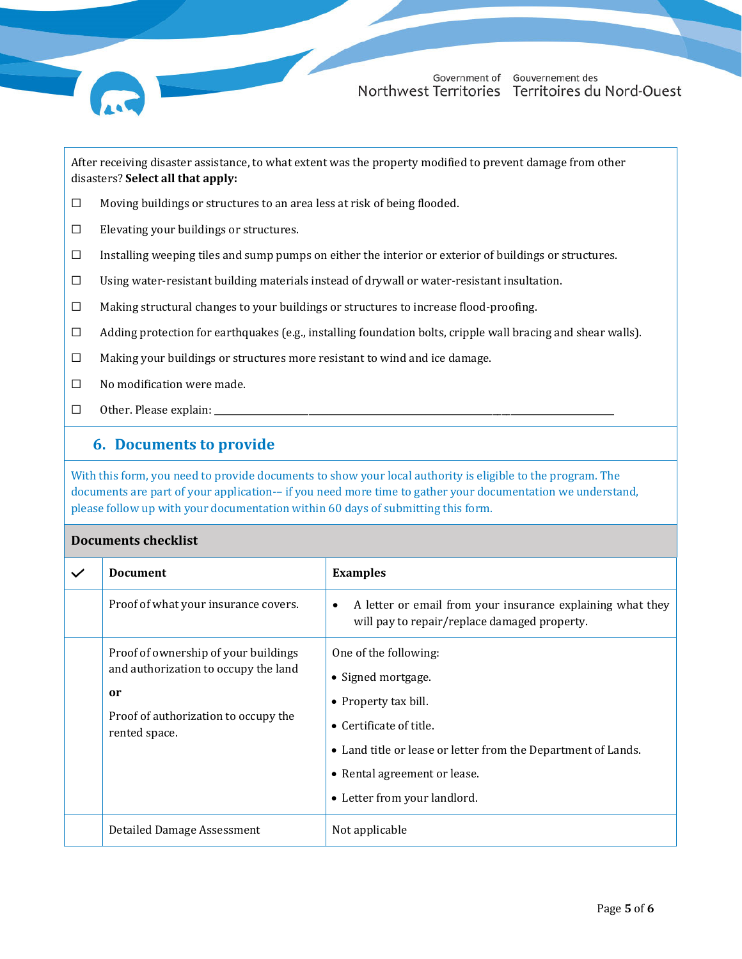

After receiving disaster assistance, to what extent was the property modified to prevent damage from other disasters? **Select all that apply:**

- ☐ Moving buildings or structures to an area less at risk of being flooded.
- $\Box$  Elevating your buildings or structures.
- $\Box$  Installing weeping tiles and sump pumps on either the interior or exterior of buildings or structures.
- $□$  Using water-resistant building materials instead of drywall or water-resistant insultation.
- ☐ Making structural changes to your buildings or structures to increase flood-proofing.
- $\Box$  Adding protection for earthquakes (e.g., installing foundation bolts, cripple wall bracing and shear walls).
- ☐ Making your buildings or structures more resistant to wind and ice damage.
- ☐ No modification were made.
- $\Box$  Other. Please explain:

## **6. Documents to provide**

With this form, you need to provide documents to show your local authority is eligible to the program. The documents are part of your application-– if you need more time to gather your documentation we understand, please follow up with your documentation within 60 days of submitting this form.

### **Documents checklist**

| $\checkmark$ | <b>Document</b>                                                                                                                                        | <b>Examples</b>                                                                                                                                                                                                                         |
|--------------|--------------------------------------------------------------------------------------------------------------------------------------------------------|-----------------------------------------------------------------------------------------------------------------------------------------------------------------------------------------------------------------------------------------|
|              | Proof of what your insurance covers.                                                                                                                   | A letter or email from your insurance explaining what they<br>$\bullet$<br>will pay to repair/replace damaged property.                                                                                                                 |
|              | Proof of ownership of your buildings<br>and authorization to occupy the land<br><sub>or</sub><br>Proof of authorization to occupy the<br>rented space. | One of the following:<br>• Signed mortgage.<br>• Property tax bill.<br>$\bullet$ Certificate of title.<br>• Land title or lease or letter from the Department of Lands.<br>• Rental agreement or lease.<br>• Letter from your landlord. |
|              | Detailed Damage Assessment                                                                                                                             | Not applicable                                                                                                                                                                                                                          |